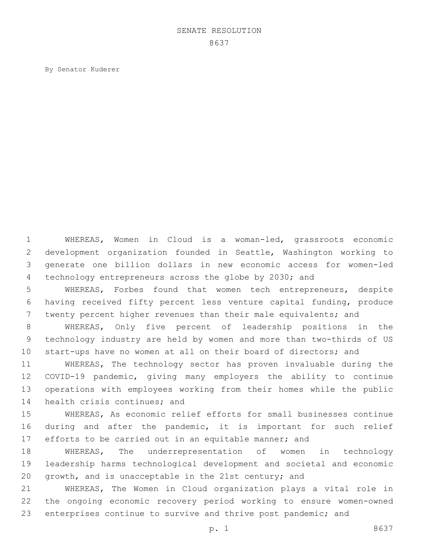## SENATE RESOLUTION

By Senator Kuderer

 WHEREAS, Women in Cloud is a woman-led, grassroots economic development organization founded in Seattle, Washington working to generate one billion dollars in new economic access for women-led technology entrepreneurs across the globe by 2030; and

 WHEREAS, Forbes found that women tech entrepreneurs, despite having received fifty percent less venture capital funding, produce twenty percent higher revenues than their male equivalents; and

 WHEREAS, Only five percent of leadership positions in the technology industry are held by women and more than two-thirds of US start-ups have no women at all on their board of directors; and

 WHEREAS, The technology sector has proven invaluable during the COVID-19 pandemic, giving many employers the ability to continue operations with employees working from their homes while the public 14 health crisis continues; and

 WHEREAS, As economic relief efforts for small businesses continue during and after the pandemic, it is important for such relief 17 efforts to be carried out in an equitable manner; and

 WHEREAS, The underrepresentation of women in technology leadership harms technological development and societal and economic growth, and is unacceptable in the 21st century; and

 WHEREAS, The Women in Cloud organization plays a vital role in the ongoing economic recovery period working to ensure women-owned 23 enterprises continue to survive and thrive post pandemic; and

p. 1 8637